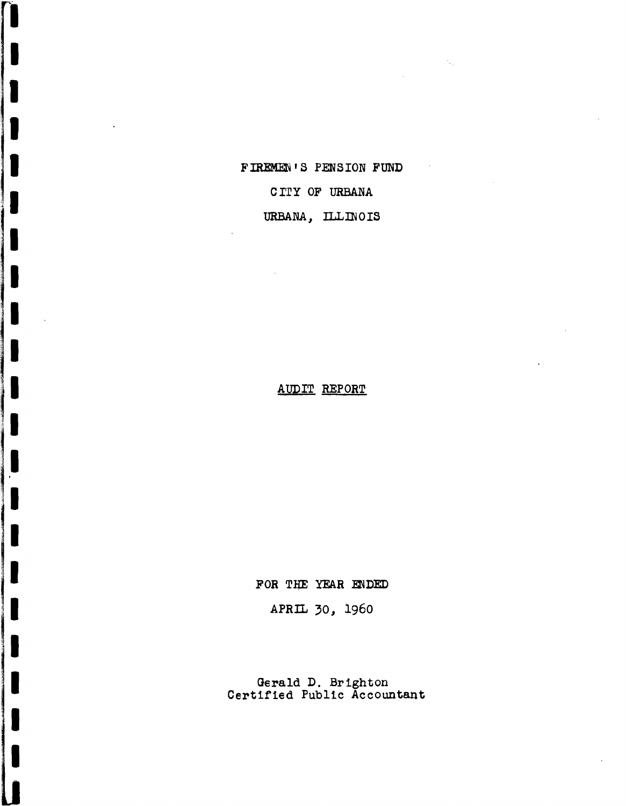FIREMEN'S PENSION FUND

i<br>|<br>|

0

I: Andrew Marian.<br>I: Andrew Maria (1990).<br>I: Andrew Maria (1990).

I. III. SAN KEESSA JA KUULU KAN KUULU KAN KUULU KAN KUULU KAN KUULU KAN KUULU KAN KUULU KAN KUULU KAN KUULU KA<br>ILI SAN KUULU KAN KUULU KAN KUULU KAN KUULU KAN KUULU KAN KUULU KAN KUULU KAN KUULU KAN KUULU KAN KUULU KAN KU

 $\frac{3}{2}$  .

II<br>I

 $\mathcal{L}^{\text{max}}_{\text{max}}$  . The construction of the construction of the construction of the construction of the construction of the construction of the construction of the construction of the construction of the construction o

CITY OF URBANA

URBANA, ILLINOIS

# AUDIT REPORT

FOR THE YEAR ENDED

APRIL 30, 1960

Gerald D. Brighton Certified Public Accountant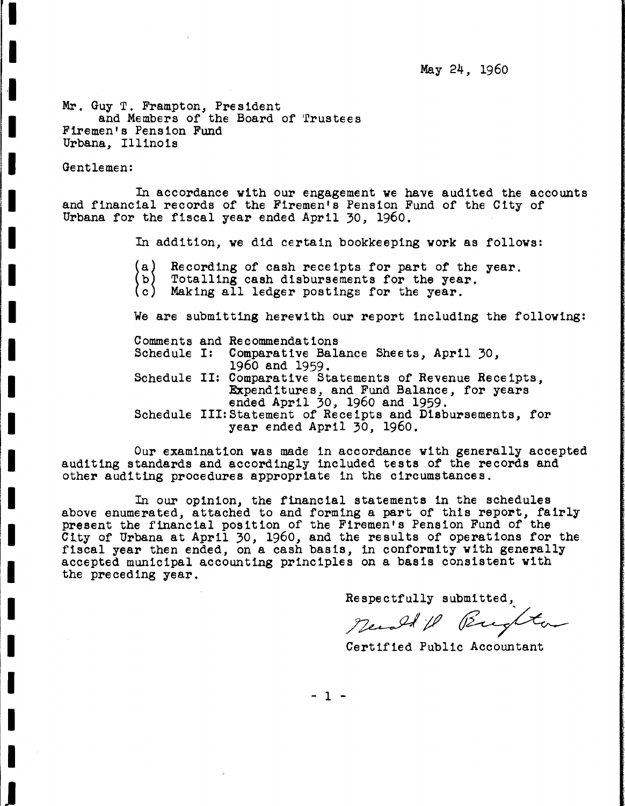May 24, 1960

Mr. Guy T. Frampton, President and Members of the Board of Trustees Firemen's Pension Fund Urbana, Illinois

Gentlemen:

**fl**

I

·1

I

I

I

I

I

I

I

,I

II

I.

I.

I

I

I

I

I

I

I

J

In accordance with our engagement we have audited the accounts and financial records of the Firemen's Pension Fund of the City of Urbana for the fiscal year ended April 30, 1960.

In addition, we did certain bookkeeping work as follows:

(a) Recording of cash receipts for part of the year.<br>Totalling cash disbursements for the year.<br>Making all ledger postings for the year.

(Ъ)

 $(c)$ 

We are submitting herewith our report including the following:

Comments and Recommendations<br>Schedule I: Comparative Bala

Comparative Balance Sheets, April 30, 1960 and 1959.

Schedule II: Comparative Statements of Revenue Receipts, Expenditures, and Fund Balance, for years ended April 30, 1960 and 1959.

Schedule III:Statement of Receipts and Disbursements, for year ended April 30, 1960.

Our examination was made in accordance with generally accepted auditing standards and accordingly included tests of the records and other auditing procedures appropriate in the circumstances.

In our opinion, the financial statements in the schedules above enumerated, attached to and forming a part of this report, fairly present the financial position of the Firemen's Pension Fund of the City of Urbana at April 30, 1960, and the results of operations for the fiscal year then ended, on <sup>a</sup> cash basis, in conformity with generally accepted municipal accounting principles on <sup>a</sup> basis consistent with the preceding year.

Respectfully submitted,

Newald R Bughton

Certified Public Accountant

- 1 -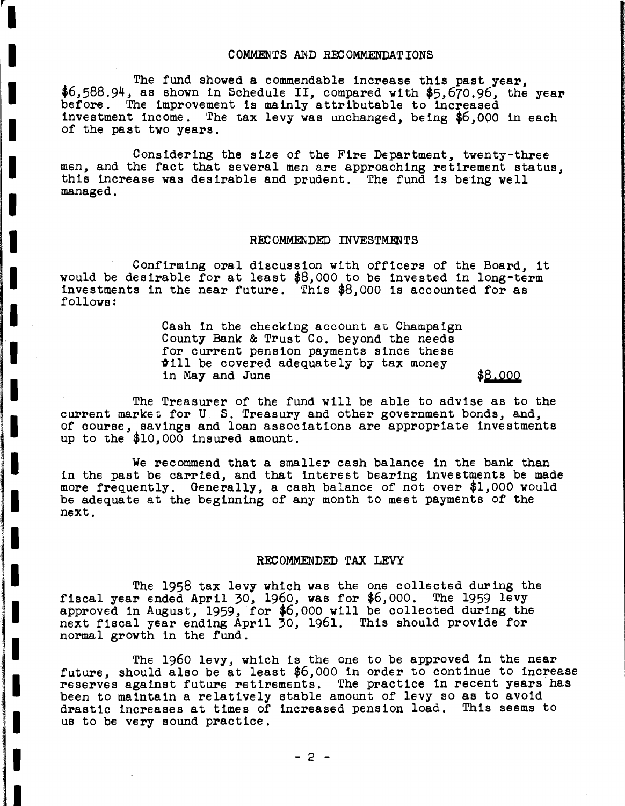#### COMMENTS AND RECOMMENDATIONS

The fund showed a commendable increase this past year,<br>\$6,588.94, as shown in Schedule II, compared with \$5,670.96, the year<br>before. The improvement is mainly attributable to increased investment income. The tax levy was unchanged, being \$6,000 in each of the past two years.

**r l**

II

I

I

I

I

I

I

I

I

I

1<br>111 - 112 - 112 - 112 - 112 - 112 - 112 - 112 - 112 - 112 - 112 - 112 - 112 - 112<br>112 - 112 - 112 - 112 - 112 - 112 - 112 - 112 - 112 - 112 - 112 - 112 - 112 - 112 - 112 - 112 - 11

in de la propieta de la propieta de la propieta de la propieta de la propieta de la propieta de la propieta d<br>En la propieta de la propieta de la propieta de la propieta de la propieta de la propieta de la propieta de la

'.

I.

i•

I

I

I

I

I

I

Considering the size of the Fire Department, twenty-three men, and the fact that several men are approaching retirement status, this increase was desirable and prudent. 'fhe fund is being well managed.

#### RECOMMENDED INVESTMENTS

Confirming oral discussion with officers of the Board, it would be desirable for at least  $$8,000$  to be invested in long-term investments in the near future. This \$8,000 is accounted for as follows:

> Cash in the checking account at Champaign County Bank & Trust Co. beyond the needs for current pension payments since these  $\texttt{will}$  be covered adequately by tax money in May and June \$8.000

The Treasurer of the fund will be able to advise as to the current market for U S. Treasury and other government bonds, and, of course, savings and loan associations are appropriate investments up to the \$10,000 insured amount.

We recommend that a smaller cash balance in the bank than in the past be carried, and that interest bearing investments be made more frequently. Generally, a cash balance of not over \$1,000 would be adequate at the beginning of any month to meet payments of the next.

### REC OMMENDED TAX LEVY

The 1958 tax levy which was the *one* collected during the fiscal year ended April 30, 1960, was for \$6,000. The 1959 levy approved in August, 1959, for \$6,000 will be collected during the next fiscal year ending April 30, 1961. This should provide for normal growth in the fund.

The 1960 levy, which is the one to be approved in the near future, should also be at least  $$6,000$  in order to continue to increase reserves against future retirements. The practice in recent years has been to maintain a relatively stable amount of levy so as to avoid drastic increases at times of increased pension load. This seems to us to be very sound practice.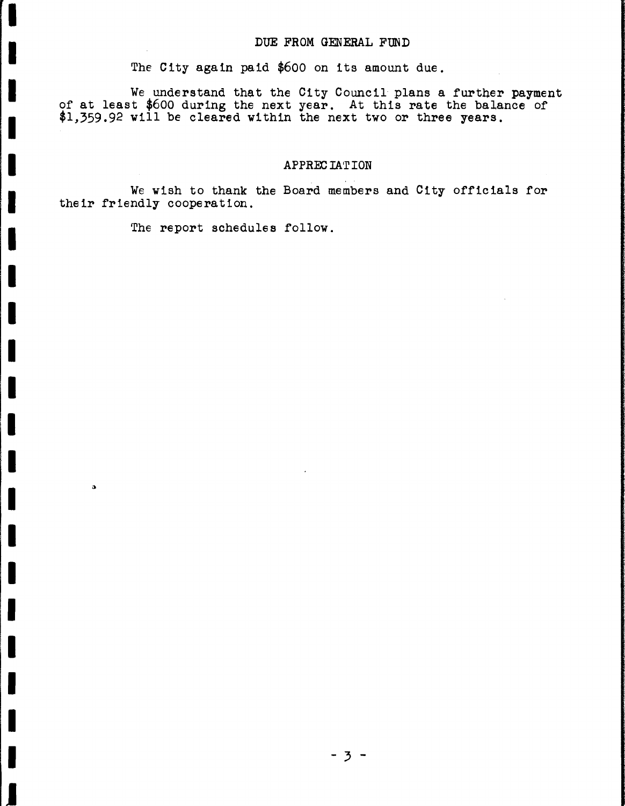### DUE FROM GENERAL FUND

The City again paid \$600 on its amount due.

We understand that the City Council plans a further payment of at least \$600 during the next year. At this rate the balance of \$1,359.92 will be cleared within the next two or three years.

### **APPREC IATION**

We wish to thank the Board members and City officials for their friendly cooperation.

The report schedules follow.

I

I

I

I

I

I

I

I

I

I

I

II

I

I

ä

II

I

I

I

I

I

I

J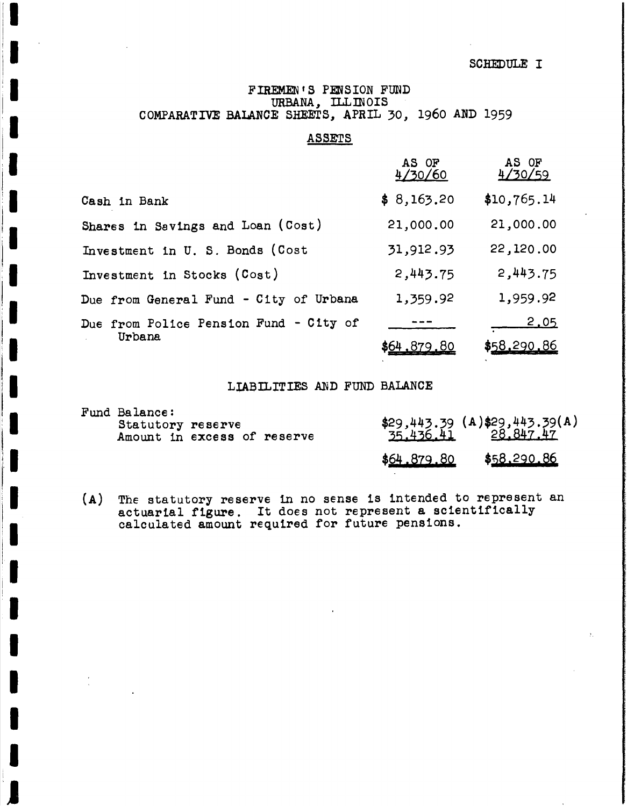SCHEDULE I

### FIREMEN'S PENSION FUND URBANA, ILLINOIS COMPARATIVE BALANCE SHEETS, APRIL 30, 1960 AND 1959

### ASSETS

|                                        | AS OF<br>4/30/60   | AS OF<br>4/30/59 |
|----------------------------------------|--------------------|------------------|
| Cash in Bank                           | \$8,163.20         | \$10,765.14      |
| Shares in Savings and Loan (Cost)      | 21,000.00          | 21,000.00        |
| Investment in U. S. Bonds (Cost        | 31,912.93          | 22,120.00        |
| Investment in Stocks (Cost)            | 2,443.75           | 2,443.75         |
| Due from General Fund - City of Urbana | 1,359.92           | 1,959.92         |
| Due from Police Pension Fund - City of |                    | <u>2.05</u>      |
| Urbana                                 | <u>\$64,879.80</u> | \$58,290.86      |

### LIABILITIES AND FUND BALANCE

| <b>Fund Balance:</b><br>Statutory reserve<br>Amount in excess of reserve |  |             | \$29,443.39 (A)\$29,443.39(A)<br>35.436.41 28.847.47 |
|--------------------------------------------------------------------------|--|-------------|------------------------------------------------------|
|                                                                          |  | \$64.879.80 | \$58,290.86                                          |

(A) The statutory reserve in no sense is intended to represent an actuarial figure. It does not represent <sup>a</sup> scientifically calculated amount required for future pensions.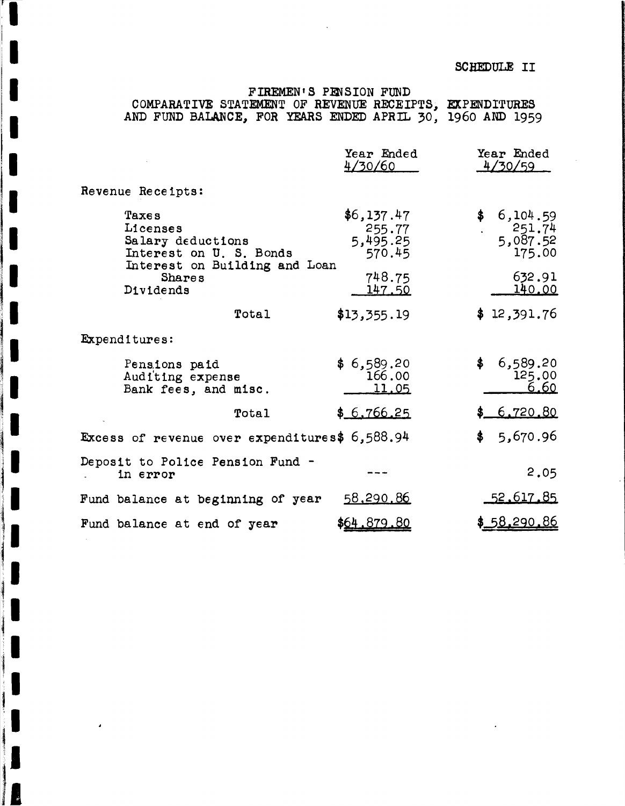## SCHEDULE II

## FIREMEN'S PENSION FUND COMPARATIVE STATEMENT OF REVENUE RECEIPTS, EXPENDITURES AND FUND BALANCE, FOR YEARS ENDED APRIL 30, 1960 AND 1959

|                                                                                                                                         | Year Ended<br>4/30/60                      | Year Ended<br>4/30/59                      |
|-----------------------------------------------------------------------------------------------------------------------------------------|--------------------------------------------|--------------------------------------------|
| Revenue Receipts:                                                                                                                       |                                            |                                            |
| <b>Taxes</b><br>L1censes<br>Salary deductions<br>Interest on U. S. Bonds<br>Interest on Building and Loan<br><b>Shares</b><br>Dividends | \$6,137.47<br>255.77<br>5,495.25<br>570.45 | \$6,104.59<br>251.74<br>5,087.52<br>175.00 |
|                                                                                                                                         | 748.75<br>147.50                           | 632.91<br><u>140.00</u>                    |
| Total                                                                                                                                   | \$13,355.19                                | \$12,391.76                                |
| Expenditures:                                                                                                                           |                                            |                                            |
| Pensions paid<br>Auditing expense<br>Bank fees, and misc.                                                                               | \$6,589.20<br>166.00<br>11.05              | \$<br>6,589.20<br>125.00<br><u>6.60</u>    |
| Total                                                                                                                                   | \$6,766.25                                 | \$6.720.80                                 |
| Excess of revenue over expenditures\$ 6,588.94                                                                                          |                                            | \$<br>5,670.96                             |
| Deposit to Police Pension Fund -<br>in error                                                                                            |                                            | 2.05                                       |
| Fund balance at beginning of year                                                                                                       | <u>58,290.86</u>                           | <u>52.617.85</u>                           |
| Fund balance at end of year                                                                                                             | \$64,879,80                                | <u>\$_58.290.86</u>                        |